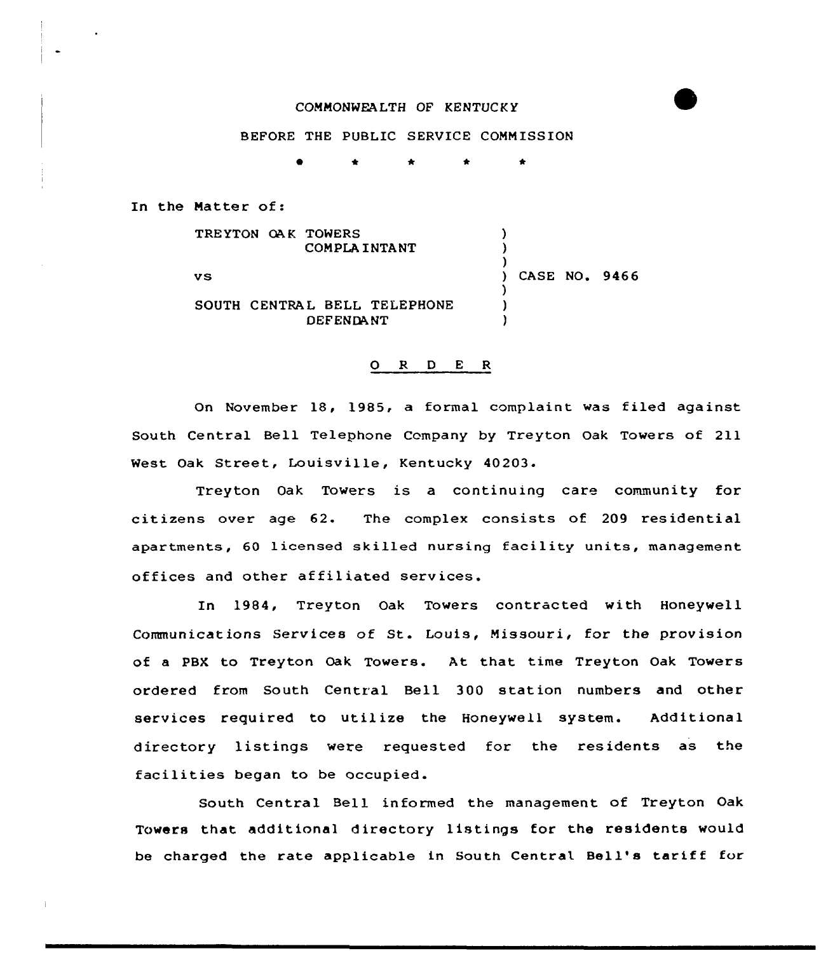## COMMONWEALTH OF KENTUCK Y

## BEFORE THE PUBLIC SERVICE COMMISSION

0 \* \* \*

In the Natter of:

TRE YTON OA K TOWERS ) COMPLA INTANT ) ) ) CASE NO. 9466 **vs** ) SOUTH CENTRAL BELL TELEPHONE ) DEFENDANT )

## 0 R <sup>D</sup> <sup>E</sup> <sup>R</sup>

On November 18, 1985, a formal complaint was filed against South Central Bell Telephone Company by Treyton Oak Towers of 211 West Oak Street, Louisville, Kentucky 40203.

Treyton Oak Towers is a continuing care community for citizens over age 62. The complex consists of 209 residential apartments, 60 licensed skilled nursing facility units, management offices and other affiliated services.

In 1984, Treyton Oak Towers contracted with Honeywell Communications Services of St. Louis, Missouri, for the provision of a PBX to Treyton Oak Towers. At that time Treyton Oak Towers ordered from South Central Bell 300 station numbers and other services required to utilize the Honeywell system. Additional directory listings were requested for the residents as the facilities began to be occupied.

South Central Bell informed the management of Treyton Oak Towers that additional directory listings for the residents would be charged the rate applicable in South Central Bell's tariff for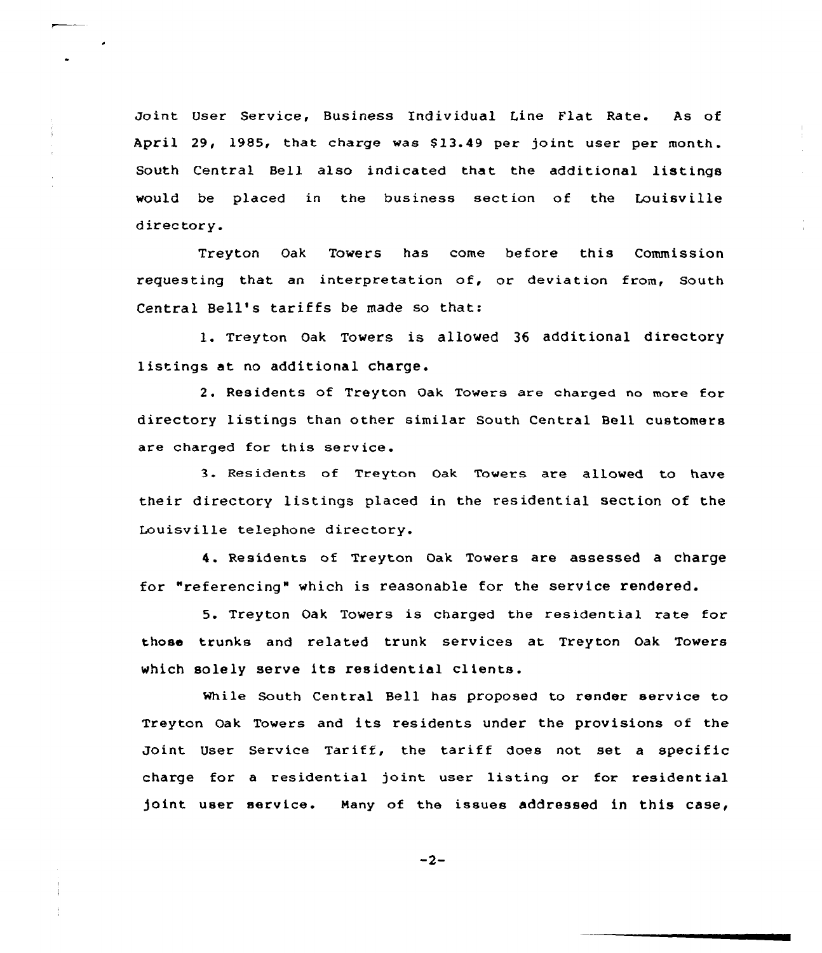Joint User Service, Business Endividual Line Flat Rate. As of April 29, 1985, that charge was 813.49 per joint user per month. South Central Bell also indicated that the additional listings would be placed in the business section of the Louisville directory.

Treyton Oak Towers has come before this Commission requesting that an interpretation of, or deviation from, South Central Bell's tariffs be made so that:

1. Treyton Oak Towers is allowed <sup>36</sup> additional directory listings at no additional charge.

2. Residents of Treyton Oak Towers are charged no more for directory listings than other similar South Central Bell customers are charged for this service.

3. Residents of Treyton Oak Towers are allowed to have their directory listings placed in the residential section of the Louisville telephone directory.

4. Residents of Treyton Oak Towers are assessed a charge for "referencing" which is reasonable for the service rendered.

5. Treyton Oak Towers is charged the residential rate for those trunks and related trunk services at Treyton Oak Towers which solely serve its residential clients.

While South Central Bell has proposed to render service to Treyton Oak Towers and its residents under the provisions of the Joint User Service Tariff, the tariff does not set <sup>a</sup> specific charge for a residential joint user listing or for residential joint user service. Many of the issues addressed in this case,

 $-2-$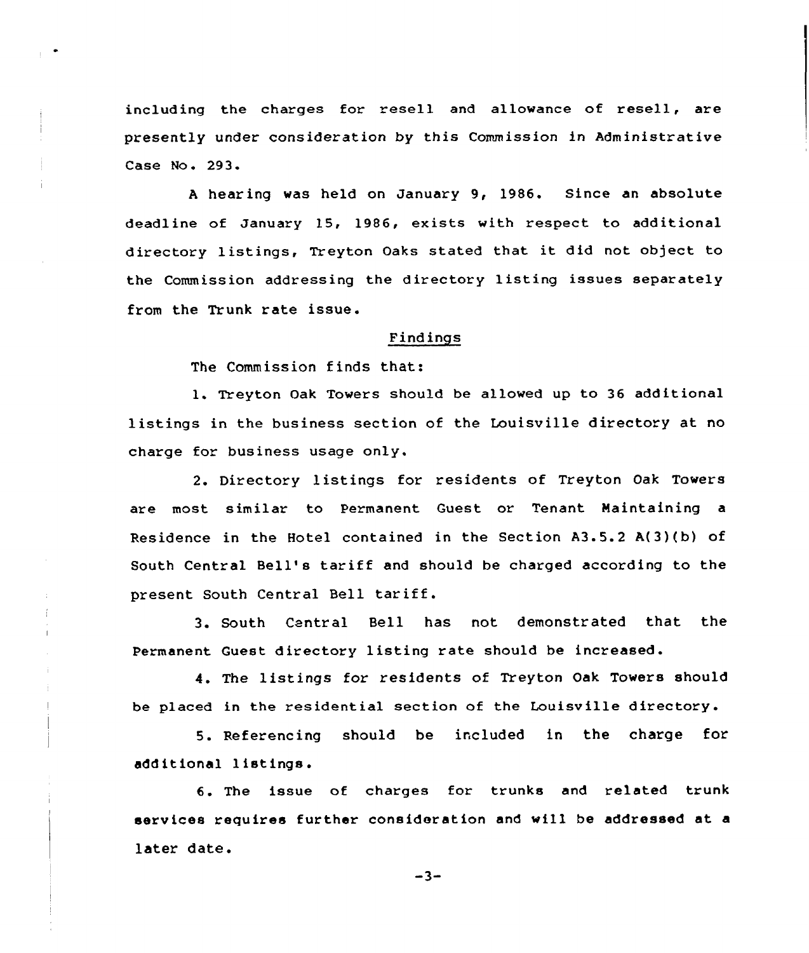including the charges for resell and allowance of resell, are presently under consideration by this Commission in Administrative Case No. 293.

<sup>A</sup> hear ing was held on January 9, 1986. Since an absolute deadline of January 15, 1986, exists with respect to additional directory listings, Treyton Oaks stated that it did not object to the Commission addressing the directory listing issues separately from the Trunk rate issue.

## Findings

The Commission finds that:

1. Treyton Oak Towers should be allowed up to 36 additional listings in the business section of the Louisville directory at no charge for business usage only.

2. Directory listings for residents of Treyton Oak Towers are most similar to Permanent Guest or Tenant Maintaining a Residence in the Hotel contained in the Section A3.5.2 A{3){b) of South Central Bell's tariff and should be charged according to the present South Central Bell tariff.

3. South Central Bell has not demonstrated that the Permanent Guest directory listing rate should be increased.

4. The listings for residents of Treyton Oak Towers should be placed in the residential section of the Louisville directory.

5. Referencing should be included in the charge for additional listings.

6. The issue of charges for trunks and related trunk services requires further consideration and wi11 be addressed at a later date.

 $-3-$